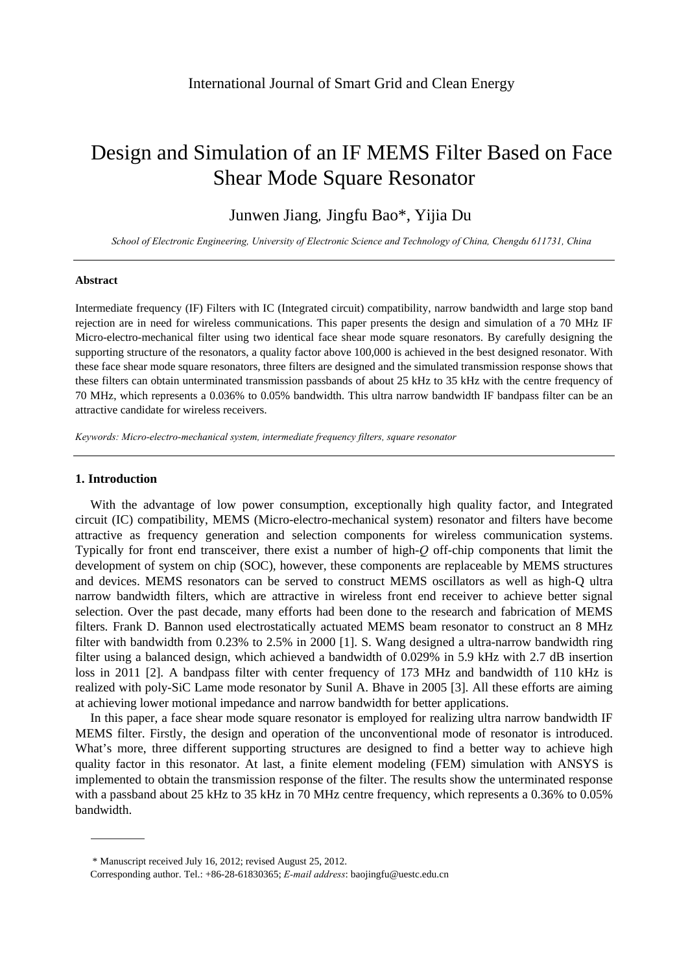# Design and Simulation of an IF MEMS Filter Based on Face Shear Mode Square Resonator

Junwen Jiang*,* Jingfu Bao\*, Yijia Du

*School of Electronic Engineering, University of Electronic Science and Technology of China, Chengdu 611731, China* 

#### **Abstract**

Intermediate frequency (IF) Filters with IC (Integrated circuit) compatibility, narrow bandwidth and large stop band rejection are in need for wireless communications. This paper presents the design and simulation of a 70 MHz IF Micro-electro-mechanical filter using two identical face shear mode square resonators. By carefully designing the supporting structure of the resonators, a quality factor above 100,000 is achieved in the best designed resonator. With these face shear mode square resonators, three filters are designed and the simulated transmission response shows that these filters can obtain unterminated transmission passbands of about 25 kHz to 35 kHz with the centre frequency of 70 MHz, which represents a 0.036% to 0.05% bandwidth. This ultra narrow bandwidth IF bandpass filter can be an attractive candidate for wireless receivers.

*Keywords: Micro-electro-mechanical system, intermediate frequency filters, square resonator*

## **1. Introduction**

With the advantage of low power consumption, exceptionally high quality factor, and Integrated circuit (IC) compatibility, MEMS (Micro-electro-mechanical system) resonator and filters have become attractive as frequency generation and selection components for wireless communication systems. Typically for front end transceiver, there exist a number of high-*Q* off-chip components that limit the development of system on chip (SOC), however, these components are replaceable by MEMS structures and devices. MEMS resonators can be served to construct MEMS oscillators as well as high-Q ultra narrow bandwidth filters, which are attractive in wireless front end receiver to achieve better signal selection. Over the past decade, many efforts had been done to the research and fabrication of MEMS filters. Frank D. Bannon used electrostatically actuated MEMS beam resonator to construct an 8 MHz filter with bandwidth from 0.23% to 2.5% in 2000 [1]. S. Wang designed a ultra-narrow bandwidth ring filter using a balanced design, which achieved a bandwidth of 0.029% in 5.9 kHz with 2.7 dB insertion loss in 2011 [2]. A bandpass filter with center frequency of 173 MHz and bandwidth of 110 kHz is realized with poly-SiC Lame mode resonator by Sunil A. Bhave in 2005 [3]. All these efforts are aiming at achieving lower motional impedance and narrow bandwidth for better applications.

In this paper, a face shear mode square resonator is employed for realizing ultra narrow bandwidth IF MEMS filter. Firstly, the design and operation of the unconventional mode of resonator is introduced. What's more, three different supporting structures are designed to find a better way to achieve high quality factor in this resonator. At last, a finite element modeling (FEM) simulation with ANSYS is implemented to obtain the transmission response of the filter. The results show the unterminated response with a passband about 25 kHz to 35 kHz in 70 MHz centre frequency, which represents a 0.36% to 0.05% bandwidth.

<sup>\*</sup> Manuscript received July 16, 2012; revised August 25, 2012.

Corresponding author. Tel.: +86-28-61830365; *E-mail address*: baojingfu@uestc.edu.cn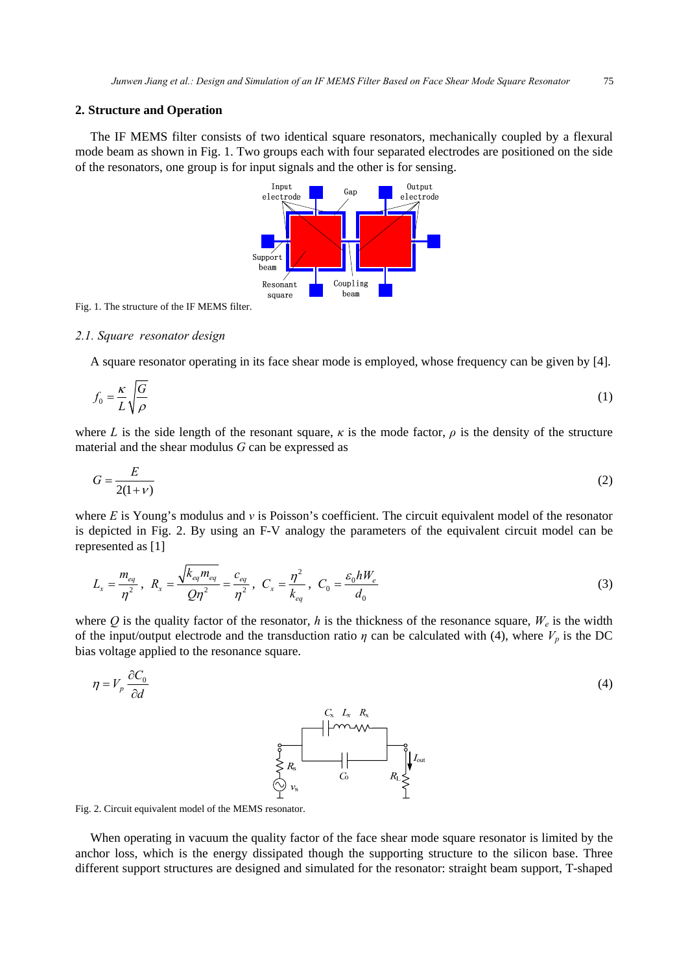## **2. Structure and Operation**

The IF MEMS filter consists of two identical square resonators, mechanically coupled by a flexural mode beam as shown in Fig. 1. Two groups each with four separated electrodes are positioned on the side of the resonators, one group is for input signals and the other is for sensing.



Fig. 1. The structure of the IF MEMS filter.

#### *2.1. Square resonator design*

A square resonator operating in its face shear mode is employed, whose frequency can be given by [4].

$$
f_0 = \frac{\kappa}{L} \sqrt{\frac{G}{\rho}}
$$
 (1)

where *L* is the side length of the resonant square,  $\kappa$  is the mode factor,  $\rho$  is the density of the structure material and the shear modulus *G* can be expressed as

$$
G = \frac{E}{2(1+\nu)}\tag{2}
$$

where *E* is Young's modulus and *ν* is Poisson's coefficient. The circuit equivalent model of the resonator is depicted in Fig. 2. By using an F-V analogy the parameters of the equivalent circuit model can be represented as [1]

$$
L_x = \frac{m_{eq}}{\eta^2}, \ R_x = \frac{\sqrt{k_{eq} m_{eq}}}{Q\eta^2} = \frac{c_{eq}}{\eta^2}, \ C_x = \frac{\eta^2}{k_{eq}}, \ C_0 = \frac{\varepsilon_0 h W_e}{d_0}
$$
 (3)

where Q is the quality factor of the resonator, h is the thickness of the resonance square,  $W_e$  is the width of the input/output electrode and the transduction ratio  $\eta$  can be calculated with (4), where  $V_p$  is the DC bias voltage applied to the resonance square.

$$
\eta = V_p \frac{\partial C_0}{\partial d}
$$
\n
$$
\begin{array}{c}\nC_x & L_x & R_x \\
\hline\n\vdots & \hline\n\end{array}
$$
\n
$$
\begin{array}{c}\nC_x & L_x & R_x \\
\hline\n\vdots & \hline\n\end{array}
$$
\n
$$
\begin{array}{c}\nC_x & L_x & R_x \\
\hline\n\vdots & \hline\n\end{array}
$$
\n
$$
\begin{array}{c}\nC_x & L_x & R_x \\
\hline\n\vdots & \hline\n\end{array}
$$
\n
$$
\begin{array}{c}\nC_x & L_x & R_x \\
\hline\n\vdots & \hline\n\end{array}
$$
\n
$$
\begin{array}{c}\nC_x & L_x & R_x \\
\hline\n\vdots & \hline\n\end{array}
$$
\n
$$
\begin{array}{c}\nC_x & L_x & R_x \\
\hline\n\vdots & \hline\n\end{array}
$$
\n
$$
\begin{array}{c}\nC_x & L_x & R_x \\
\hline\n\vdots & \hline\n\end{array}
$$
\n
$$
\begin{array}{c}\nC_x & L_x & R_x \\
\hline\n\vdots & \hline\n\end{array}
$$
\n
$$
\begin{array}{c}\nC_x & L_x & R_x \\
\hline\n\vdots & \hline\n\end{array}
$$
\n
$$
\begin{array}{c}\nC_x & L_x & R_x \\
\hline\n\vdots & \hline\n\end{array}
$$
\n
$$
\begin{array}{c}\nC_x & L_x & R_x \\
\hline\n\vdots & \hline\n\end{array}
$$
\n
$$
\begin{array}{c}\nC_x & L_x & R_x \\
\hline\n\vdots & \hline\n\end{array}
$$
\n
$$
\begin{array}{c}\nC_x & L_x & R_x \\
\hline\n\vdots & \hline\n\end{array}
$$
\n
$$
\begin{array}{c}\nC_x & L_x & R_x \\
\hline\n\vdots & \hline\n\end{array}
$$
\n
$$
\begin{array}{c}\nC_x & L_x & R_x \\
\hline\n\end{array}
$$
\n
$$
\begin{array}{c}\nC_x & L_x & R_x \\
\hline\n\end{array}
$$
\n
$$
\begin{array}{c}\nC_x & L_x & R_x \\
\hline\n\end{array}
$$
\n
$$
\begin{
$$

 $R_{\text{L}} \leq \frac{1}{2}$ 

Fig. 2. Circuit equivalent model of the MEMS resonator.

When operating in vacuum the quality factor of the face shear mode square resonator is limited by the anchor loss, which is the energy dissipated though the supporting structure to the silicon base. Three different support structures are designed and simulated for the resonator: straight beam support, T-shaped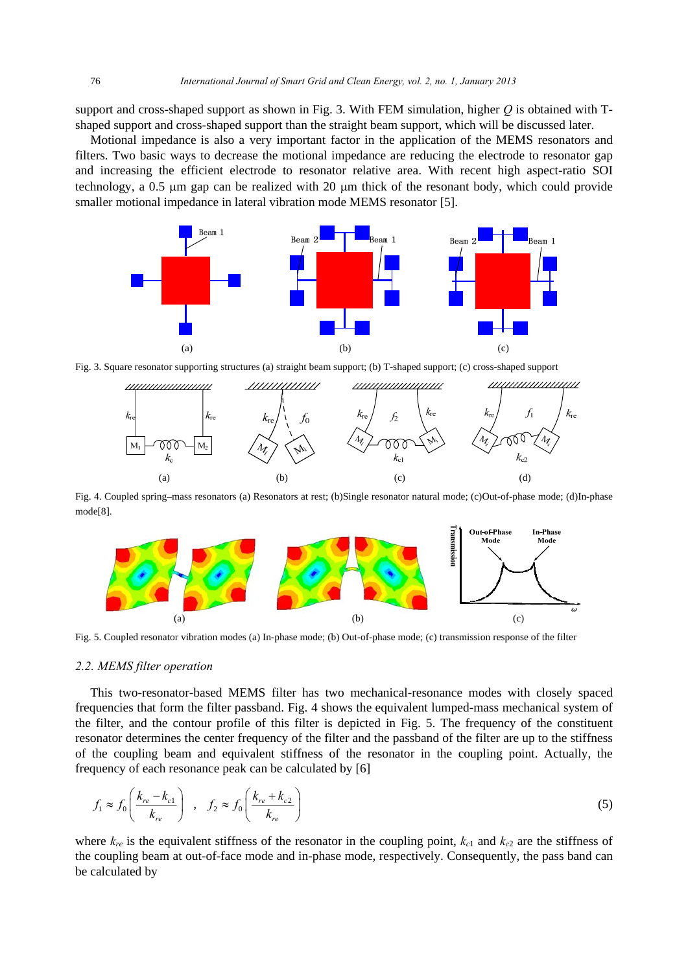support and cross-shaped support as shown in Fig. 3. With FEM simulation, higher *Q* is obtained with Tshaped support and cross-shaped support than the straight beam support, which will be discussed later.

Motional impedance is also a very important factor in the application of the MEMS resonators and filters. Two basic ways to decrease the motional impedance are reducing the electrode to resonator gap and increasing the efficient electrode to resonator relative area. With recent high aspect-ratio SOI technology, a 0.5 μm gap can be realized with 20 μm thick of the resonant body, which could provide smaller motional impedance in lateral vibration mode MEMS resonator [5].



Fig. 3. Square resonator supporting structures (a) straight beam support; (b) T-shaped support; (c) cross-shaped support



Fig. 4. Coupled spring–mass resonators (a) Resonators at rest; (b)Single resonator natural mode; (c)Out-of-phase mode; (d)In-phase mode[8].



Fig. 5. Coupled resonator vibration modes (a) In-phase mode; (b) Out-of-phase mode; (c) transmission response of the filter

#### *2.2. MEMS filter operation*

This two-resonator-based MEMS filter has two mechanical-resonance modes with closely spaced frequencies that form the filter passband. Fig. 4 shows the equivalent lumped-mass mechanical system of the filter, and the contour profile of this filter is depicted in Fig. 5. The frequency of the constituent resonator determines the center frequency of the filter and the passband of the filter are up to the stiffness of the coupling beam and equivalent stiffness of the resonator in the coupling point. Actually, the frequency of each resonance peak can be calculated by [6]

$$
f_1 \approx f_0 \left(\frac{k_{re} - k_{c1}}{k_{re}}\right) , \quad f_2 \approx f_0 \left(\frac{k_{re} + k_{c2}}{k_{re}}\right)
$$
 (5)

where  $k_{re}$  is the equivalent stiffness of the resonator in the coupling point,  $k_{c1}$  and  $k_{c2}$  are the stiffness of the coupling beam at out-of-face mode and in-phase mode, respectively. Consequently, the pass band can be calculated by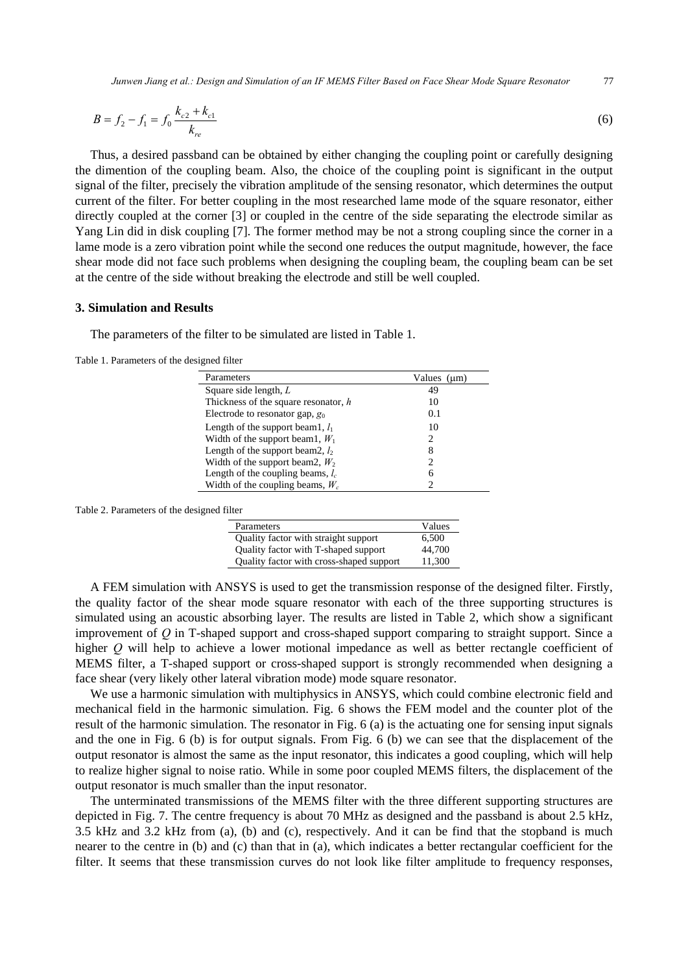*Junwen Jiang et al.: Design and Simulation of an IF MEMS Filter Based on Face Shear Mode Square Resonator* 77

$$
B = f_2 - f_1 = f_0 \frac{k_{c2} + k_{c1}}{k_{re}}
$$
 (6)

Thus, a desired passband can be obtained by either changing the coupling point or carefully designing the dimention of the coupling beam. Also, the choice of the coupling point is significant in the output signal of the filter, precisely the vibration amplitude of the sensing resonator, which determines the output current of the filter. For better coupling in the most researched lame mode of the square resonator, either directly coupled at the corner [3] or coupled in the centre of the side separating the electrode similar as Yang Lin did in disk coupling [7]. The former method may be not a strong coupling since the corner in a lame mode is a zero vibration point while the second one reduces the output magnitude, however, the face shear mode did not face such problems when designing the coupling beam, the coupling beam can be set at the centre of the side without breaking the electrode and still be well coupled.

## **3. Simulation and Results**

The parameters of the filter to be simulated are listed in Table 1.

Table 1. Parameters of the designed filter

| Parameters                             | Values (um)    |
|----------------------------------------|----------------|
| Square side length, $L$                | 49             |
| Thickness of the square resonator, $h$ | 10             |
| Electrode to resonator gap, $g_0$      | 0.1            |
| Length of the support beam1, $l_1$     | 10             |
| Width of the support beam1, $W_1$      | 2              |
| Length of the support beam2, $l_2$     | 8              |
| Width of the support beam2, $W_2$      | $\mathfrak{D}$ |
| Length of the coupling beams, $l_c$    | 6              |
| Width of the coupling beams, $W_c$     |                |

Table 2. Parameters of the designed filter

| Parameters                               | Values |
|------------------------------------------|--------|
| Quality factor with straight support     | 6.500  |
| Quality factor with T-shaped support     | 44,700 |
| Quality factor with cross-shaped support | 11.300 |

A FEM simulation with ANSYS is used to get the transmission response of the designed filter. Firstly, the quality factor of the shear mode square resonator with each of the three supporting structures is simulated using an acoustic absorbing layer. The results are listed in Table 2, which show a significant improvement of *Q* in T-shaped support and cross-shaped support comparing to straight support. Since a higher *Q* will help to achieve a lower motional impedance as well as better rectangle coefficient of MEMS filter, a T-shaped support or cross-shaped support is strongly recommended when designing a face shear (very likely other lateral vibration mode) mode square resonator.

We use a harmonic simulation with multiphysics in ANSYS, which could combine electronic field and mechanical field in the harmonic simulation. Fig. 6 shows the FEM model and the counter plot of the result of the harmonic simulation. The resonator in Fig. 6 (a) is the actuating one for sensing input signals and the one in Fig. 6 (b) is for output signals. From Fig. 6 (b) we can see that the displacement of the output resonator is almost the same as the input resonator, this indicates a good coupling, which will help to realize higher signal to noise ratio. While in some poor coupled MEMS filters, the displacement of the output resonator is much smaller than the input resonator.

The unterminated transmissions of the MEMS filter with the three different supporting structures are depicted in Fig. 7. The centre frequency is about 70 MHz as designed and the passband is about 2.5 kHz, 3.5 kHz and 3.2 kHz from (a), (b) and (c), respectively. And it can be find that the stopband is much nearer to the centre in (b) and (c) than that in (a), which indicates a better rectangular coefficient for the filter. It seems that these transmission curves do not look like filter amplitude to frequency responses,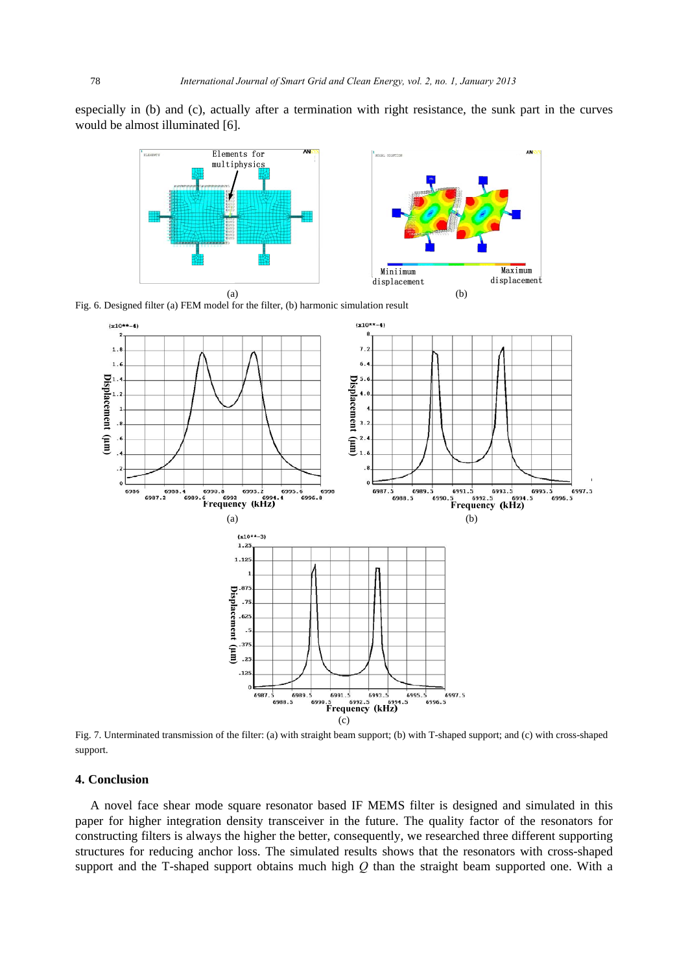especially in (b) and (c), actually after a termination with right resistance, the sunk part in the curves would be almost illuminated [6].



Fig. 6. Designed filter (a) FEM model for the filter, (b) harmonic simulation result



Fig. 7. Unterminated transmission of the filter: (a) with straight beam support; (b) with T-shaped support; and (c) with cross-shaped support.

## **4. Conclusion**

A novel face shear mode square resonator based IF MEMS filter is designed and simulated in this paper for higher integration density transceiver in the future. The quality factor of the resonators for constructing filters is always the higher the better, consequently, we researched three different supporting structures for reducing anchor loss. The simulated results shows that the resonators with cross-shaped support and the T-shaped support obtains much high *Q* than the straight beam supported one. With a